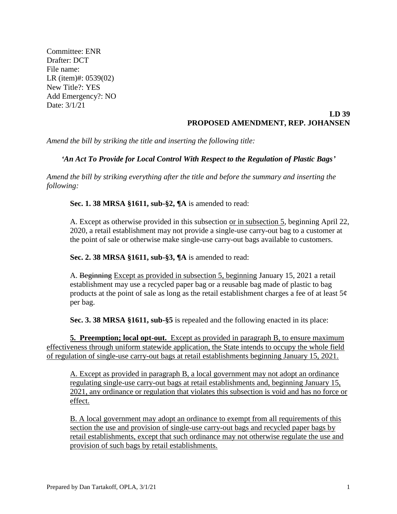Committee: ENR Drafter: DCT File name: LR (item)#: 0539(02) New Title?: YES Add Emergency?: NO Date: 3/1/21

## **LD 39 PROPOSED AMENDMENT, REP. JOHANSEN**

*Amend the bill by striking the title and inserting the following title:*

## *'An Act To Provide for Local Control With Respect to the Regulation of Plastic Bags'*

*Amend the bill by striking everything after the title and before the summary and inserting the following:*

**Sec. 1. 38 MRSA §1611, sub-§2, ¶A** is amended to read:

A. Except as otherwise provided in this subsection or in subsection 5, beginning April 22, 2020, a retail establishment may not provide a single-use carry-out bag to a customer at the point of sale or otherwise make single-use carry-out bags available to customers.

**Sec. 2. 38 MRSA §1611, sub-§3, ¶A** is amended to read:

A. Beginning Except as provided in subsection 5, beginning January 15, 2021 a retail establishment may use a recycled paper bag or a reusable bag made of plastic to bag products at the point of sale as long as the retail establishment charges a fee of at least  $5¢$ per bag.

**Sec. 3. 38 MRSA §1611, sub-§5** is repealed and the following enacted in its place:

**5. Preemption; local opt-out.** Except as provided in paragraph B, to ensure maximum effectiveness through uniform statewide application, the State intends to occupy the whole field of regulation of single-use carry-out bags at retail establishments beginning January 15, 2021.

A. Except as provided in paragraph B, a local government may not adopt an ordinance regulating single-use carry-out bags at retail establishments and, beginning January 15, 2021, any ordinance or regulation that violates this subsection is void and has no force or effect.

B. A local government may adopt an ordinance to exempt from all requirements of this section the use and provision of single-use carry-out bags and recycled paper bags by retail establishments, except that such ordinance may not otherwise regulate the use and provision of such bags by retail establishments.